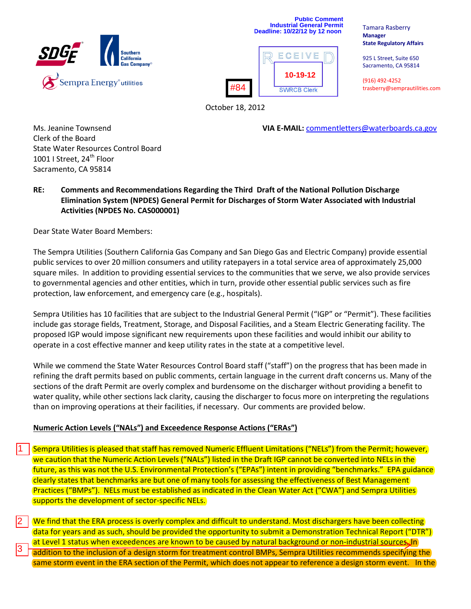



Tamara Rasberry **Manager State Regulatory Affairs**

925 L Street, Suite 650 Sacramento, CA 95814

(916) 492-4252 trasberry@semprautilities.com

October 18, 2012

Ms. Jeanine Townsend **VIA E-MAIL:** [commentletters@waterboards.ca.gov](mailto:commentletters@waterboards.ca.gov)

Clerk of the Board State Water Resources Control Board 1001 I Street, 24<sup>th</sup> Floor Sacramento, CA 95814

**RE: Comments and Recommendations Regarding the Third Draft of the National Pollution Discharge Elimination System (NPDES) General Permit for Discharges of Storm Water Associated with Industrial Activities (NPDES No. CAS000001)**

Dear State Water Board Members:

1

2

3

The Sempra Utilities (Southern California Gas Company and San Diego Gas and Electric Company) provide essential public services to over 20 million consumers and utility ratepayers in a total service area of approximately 25,000 square miles. In addition to providing essential services to the communities that we serve, we also provide services to governmental agencies and other entities, which in turn, provide other essential public services such as fire protection, law enforcement, and emergency care (e.g., hospitals).

Sempra Utilities has 10 facilities that are subject to the Industrial General Permit ("IGP" or "Permit"). These facilities include gas storage fields, Treatment, Storage, and Disposal Facilities, and a Steam Electric Generating facility. The proposed IGP would impose significant new requirements upon these facilities and would inhibit our ability to operate in a cost effective manner and keep utility rates in the state at a competitive level.

While we commend the State Water Resources Control Board staff ("staff") on the progress that has been made in refining the draft permits based on public comments, certain language in the current draft concerns us. Many of the sections of the draft Permit are overly complex and burdensome on the discharger without providing a benefit to water quality, while other sections lack clarity, causing the discharger to focus more on interpreting the regulations than on improving operations at their facilities, if necessary. Our comments are provided below.

# **Numeric Action Levels ("NALs") and Exceedence Response Actions ("ERAs")**

Sempra Utilities is pleased that staff has removed Numeric Effluent Limitations ("NELs") from the Permit; however, we caution that the Numeric Action Levels ("NALs") listed in the Draft IGP cannot be converted into NELs in the future, as this was not the U.S. Environmental Protection's ("EPAs") intent in providing "benchmarks." EPA guidance clearly states that benchmarks are but one of many tools for assessing the effectiveness of Best Management Practices ("BMPs"). NELs must be established as indicated in the Clean Water Act ("CWA") and Sempra Utilities supports the development of sector-specific NELs.

We find that the ERA process is overly complex and difficult to understand. Most dischargers have been collecting data for years and as such, should be provided the opportunity to submit a Demonstration Technical Report ("DTR") at Level 1 status when exceedences are known to be caused by natural background or non-industrial sources. In addition to the inclusion of a design storm for treatment control BMPs, Sempra Utilities recommends specifying the same storm event in the ERA section of the Permit, which does not appear to reference a design storm event. In the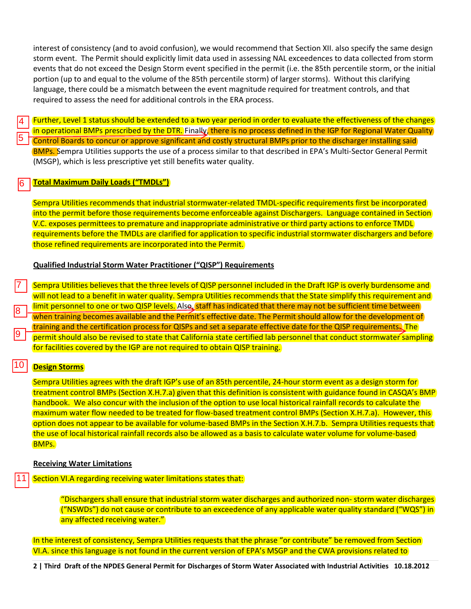interest of consistency (and to avoid confusion), we would recommend that Section XII. also specify the same design storm event. The Permit should explicitly limit data used in assessing NAL exceedences to data collected from storm events that do not exceed the Design Storm event specified in the permit (i.e. the 85th percentile storm, or the initial portion (up to and equal to the volume of the 85th percentile storm) of larger storms). Without this clarifying language, there could be a mismatch between the event magnitude required for treatment controls, and that required to assess the need for additional controls in the ERA process.

Further, Level 1 status should be extended to a two year period in order to evaluate the effectiveness of the changes in operational BMPs prescribed by the DTR. Finally, there is no process defined in the IGP for Regional Water Quality Control Boards to concur or approve significant and costly structural BMPs prior to the discharger installing said **BMPs.** Sempra Utilities supports the use of a process similar to that described in EPA's Multi-Sector General Permit (MSGP), which is less prescriptive yet still benefits water quality.

### **Total Maximum Daily Loads ("TMDLs")** 6

Sempra Utilities recommends that industrial stormwater-related TMDL-specific requirements first be incorporated into the permit before those requirements become enforceable against Dischargers. Language contained in Section V.C. exposes permittees to premature and inappropriate administrative or third party actions to enforce TMDL requirements before the TMDLs are clarified for application to specific industrial stormwater dischargers and before those refined requirements are incorporated into the Permit.

## **Qualified Industrial Storm Water Practitioner ("QISP") Requirements**

Sempra Utilities believes that the three levels of QISP personnel included in the Draft IGP is overly burdensome and will not lead to a benefit in water quality. Sempra Utilities recommends that the State simplify this requirement and limit personnel to one or two QISP levels. Also, staff has indicated that there may not be sufficient time between when training becomes available and the Permit's effective date. The Permit should allow for the development of training and the certification process for QISPs and set a separate effective date for the QISP requirements. The permit should also be revised to state that California state certified lab personnel that conduct stormwater sampling for facilities covered by the IGP are not required to obtain QISP training. 7 8 9

# $\frac{10}{11}$ 10 **Design Storms**

4

5

Sempra Utilities agrees with the draft IGP's use of an 85th percentile, 24-hour storm event as a design storm for treatment control BMPs (Section X.H.7.a) given that this definition is consistent with guidance found in CASQA's BMP handbook. We also concur with the inclusion of the option to use local historical rainfall records to calculate the maximum water flow needed to be treated for flow-based treatment control BMPs (Section X.H.7.a). However, this option does not appear to be available for volume-based BMPs in the Section X.H.7.b. Sempra Utilities requests that the use of local historical rainfall records also be allowed as a basis to calculate water volume for volume-based BMPs.

## **Receiving Water Limitations**

Section VI.A regarding receiving water limitations states that:

"Dischargers shall ensure that industrial storm water discharges and authorized non- storm water discharges ("NSWDs") do not cause or contribute to an exceedence of any applicable water quality standard ("WQS") in any affected receiving water."

In the interest of consistency, Sempra Utilities requests that the phrase "or contribute" be removed from Section VI.A. since this language is not found in the current version of EPA's MSGP and the CWA provisions related to

**2 | Third Draft of the NPDES General Permit for Discharges of Storm Water Associated with Industrial Activities 10.18.2012**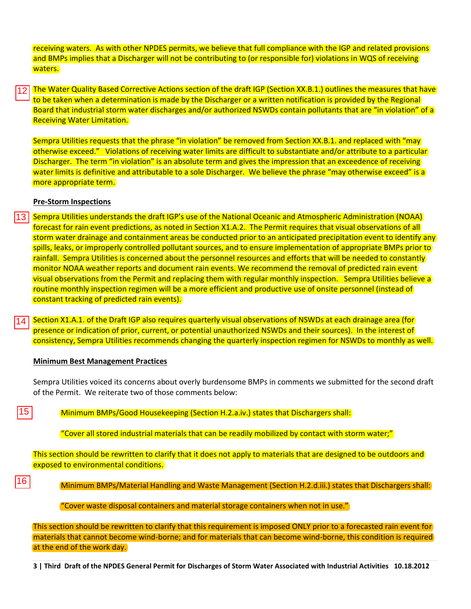receiving waters. As with other NPDES permits, we believe that full compliance with the IGP and related provisions and BMPs implies that a Discharger will not be contributing to (or responsible for) violations in WQS of receiving waters.

The Water Quality Based Corrective Actions section of the draft IGP (Section XX.B.1.) outlines the measures that have to be taken when a determination is made by the Discharger or a written notification is provided by the Regional Board that industrial storm water discharges and/or authorized NSWDs contain pollutants that are "in violation" of a Receiving Water Limitation.

Sempra Utilities requests that the phrase "in violation" be removed from Section XX.B.1. and replaced with "may otherwise exceed." Violations of receiving water limits are difficult to substantiate and/or attribute to a particular Discharger. The term "in violation" is an absolute term and gives the impression that an exceedence of receiving water limits is definitive and attributable to a sole Discharger. We believe the phrase "may otherwise exceed" is a more appropriate term.

## **Pre-Storm Inspections**

- Sempra Utilities understands the draft IGP's use of the National Oceanic and Atmospheric Administration (NOAA) forecast for rain event predictions, as noted in Section X1.A.2. The Permit requires that visual observations of all storm water drainage and containment areas be conducted prior to an anticipated precipitation event to identify any spills, leaks, or improperly controlled pollutant sources, and to ensure implementation of appropriate BMPs prior to rainfall. Sempra Utilities is concerned about the personnel resources and efforts that will be needed to constantly monitor NOAA weather reports and document rain events. We recommend the removal of predicted rain event visual observations from the Permit and replacing them with regular monthly inspection. Sempra Utilities believe a routine monthly inspection regimen will be a more efficient and productive use of onsite personnel (instead of constant tracking of predicted rain events). 12<br>13<br>14<br>15
- Section X1.A.1. of the Draft IGP also requires quarterly visual observations of NSWDs at each drainage area (for  $14$ presence or indication of prior, current, or potential unauthorized NSWDs and their sources). In the interest of consistency, Sempra Utilities recommends changing the quarterly inspection regimen for NSWDs to monthly as well.

## **Minimum Best Management Practices**

Sempra Utilities voiced its concerns about overly burdensome BMPs in comments we submitted for the second draft of the Permit. We reiterate two of those comments below:

Minimum BMPs/Good Housekeeping (Section H.2.a.iv.) states that Dischargers shall:

"Cover all stored industrial materials that can be readily mobilized by contact with storm water;"

This section should be rewritten to clarify that it does not apply to materials that are designed to be outdoors and exposed to environmental conditions.

16

 $15<sub>1</sub>$ 

Minimum BMPs/Material Handling and Waste Management (Section H.2.d.iii.) states that Dischargers shall:

"Cover waste disposal containers and material storage containers when not in use."

This section should be rewritten to clarify that this requirement is imposed ONLY prior to a forecasted rain event for materials that cannot become wind-borne; and for materials that can become wind-borne, this condition is required at the end of the work day.

**3 | Third Draft of the NPDES General Permit for Discharges of Storm Water Associated with Industrial Activities 10.18.2012**